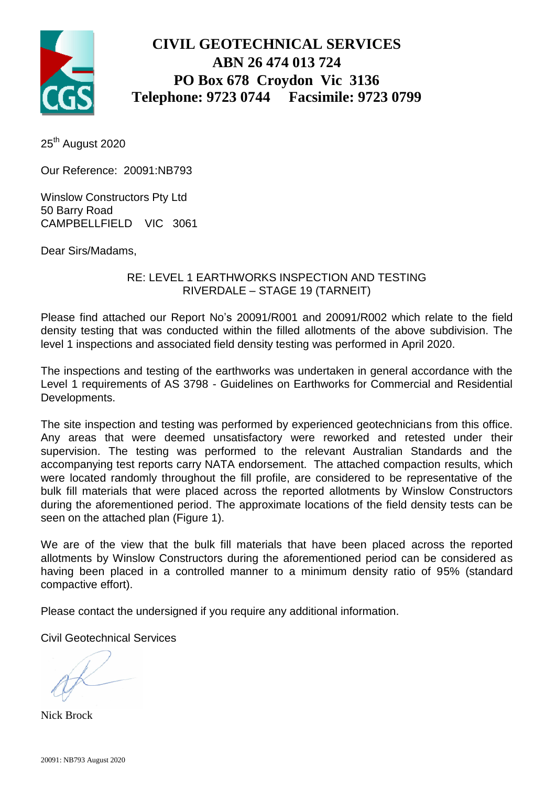

## **CIVIL GEOTECHNICAL SERVICES ABN 26 474 013 724 PO Box 678 Croydon Vic 3136 Telephone: 9723 0744 Facsimile: 9723 0799**

25<sup>th</sup> August 2020

Our Reference: 20091:NB793

Winslow Constructors Pty Ltd 50 Barry Road CAMPBELLFIELD VIC 3061

Dear Sirs/Madams,

#### RE: LEVEL 1 EARTHWORKS INSPECTION AND TESTING RIVERDALE – STAGE 19 (TARNEIT)

Please find attached our Report No's 20091/R001 and 20091/R002 which relate to the field density testing that was conducted within the filled allotments of the above subdivision. The level 1 inspections and associated field density testing was performed in April 2020.

The inspections and testing of the earthworks was undertaken in general accordance with the Level 1 requirements of AS 3798 - Guidelines on Earthworks for Commercial and Residential Developments.

The site inspection and testing was performed by experienced geotechnicians from this office. Any areas that were deemed unsatisfactory were reworked and retested under their supervision. The testing was performed to the relevant Australian Standards and the accompanying test reports carry NATA endorsement. The attached compaction results, which were located randomly throughout the fill profile, are considered to be representative of the bulk fill materials that were placed across the reported allotments by Winslow Constructors during the aforementioned period. The approximate locations of the field density tests can be seen on the attached plan (Figure 1).

We are of the view that the bulk fill materials that have been placed across the reported allotments by Winslow Constructors during the aforementioned period can be considered as having been placed in a controlled manner to a minimum density ratio of 95% (standard compactive effort).

Please contact the undersigned if you require any additional information.

Civil Geotechnical Services

Nick Brock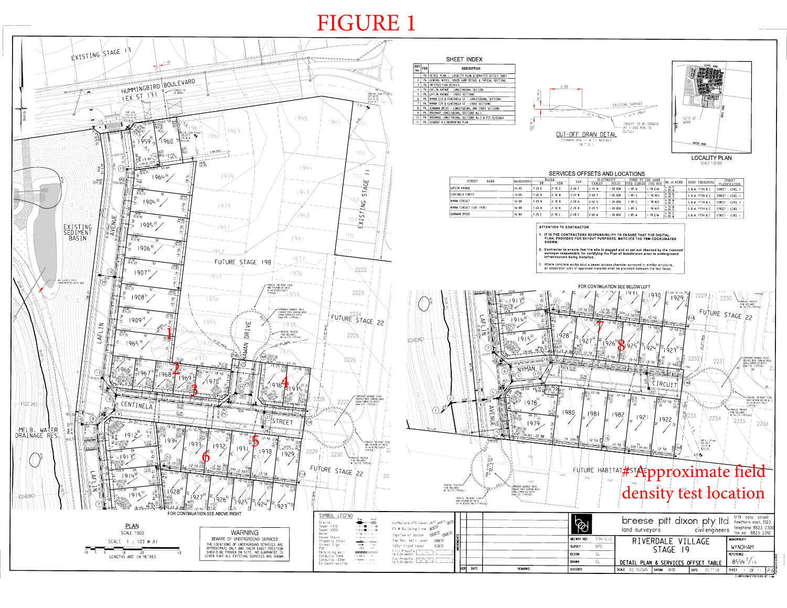# FIGURE 1

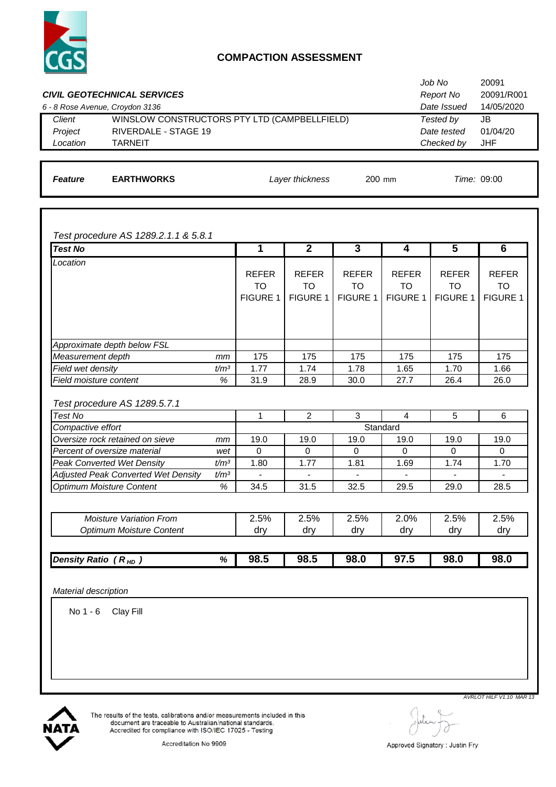

### **COMPACTION ASSESSMENT**

|                |                                                               |                                              |                  | Job No      | 20091       |  |
|----------------|---------------------------------------------------------------|----------------------------------------------|------------------|-------------|-------------|--|
|                | 20091/R001<br><b>CIVIL GEOTECHNICAL SERVICES</b><br>Report No |                                              |                  |             |             |  |
|                | 6 - 8 Rose Avenue, Croydon 3136                               |                                              |                  | Date Issued | 14/05/2020  |  |
| Client         |                                                               | WINSLOW CONSTRUCTORS PTY LTD (CAMPBELLFIELD) |                  | Tested by   | JB          |  |
| Project        | <b>RIVERDALE - STAGE 19</b>                                   |                                              |                  | Date tested | 01/04/20    |  |
| Location       | <b>TARNEIT</b>                                                |                                              |                  | Checked by  | <b>JHF</b>  |  |
|                |                                                               |                                              |                  |             |             |  |
| <b>Feature</b> | <b>EARTHWORKS</b>                                             | Layer thickness                              | $200 \text{ mm}$ |             | Time: 09:00 |  |
|                |                                                               |                                              |                  |             |             |  |
|                |                                                               |                                              |                  |             |             |  |

*Test procedure AS 1289.2.1.1 & 5.8.1*

| <b>Test No</b>                                       |                  | 1               | $\overline{2}$  | $\overline{3}$  | 4                | $\overline{\mathbf{5}}$ | $6\phantom{1}6$ |
|------------------------------------------------------|------------------|-----------------|-----------------|-----------------|------------------|-------------------------|-----------------|
| Location                                             |                  |                 |                 |                 |                  |                         |                 |
|                                                      |                  | <b>REFER</b>    | <b>REFER</b>    | <b>REFER</b>    | <b>REFER</b>     | <b>REFER</b>            | <b>REFER</b>    |
|                                                      |                  | <b>TO</b>       | <b>TO</b>       | <b>TO</b>       | TO               | <b>TO</b>               | <b>TO</b>       |
|                                                      |                  | <b>FIGURE 1</b> | <b>FIGURE 1</b> | <b>FIGURE 1</b> | <b>FIGURE 1</b>  | <b>FIGURE 1</b>         | <b>FIGURE 1</b> |
|                                                      |                  |                 |                 |                 |                  |                         |                 |
|                                                      |                  |                 |                 |                 |                  |                         |                 |
| Approximate depth below FSL                          |                  |                 |                 |                 |                  |                         |                 |
| Measurement depth                                    | mm               | 175             | 175             | 175             | 175              | 175                     | 175             |
| Field wet density                                    | t/m <sup>3</sup> | 1.77            | 1.74            | 1.78            | 1.65             | 1.70                    | 1.66            |
| Field moisture content                               | %                | 31.9            | 28.9            | 30.0            | 27.7             | 26.4                    | 26.0            |
|                                                      |                  |                 |                 |                 |                  |                         |                 |
| Test procedure AS 1289.5.7.1                         |                  |                 |                 |                 |                  |                         |                 |
|                                                      |                  |                 |                 |                 |                  |                         |                 |
|                                                      |                  | 1               |                 | 3               | 4                |                         |                 |
| <b>Test No</b>                                       |                  |                 | $\overline{2}$  |                 |                  | 5                       | 6               |
| Compactive effort<br>Oversize rock retained on sieve | mm               | 19.0            | 19.0            | 19.0            | Standard<br>19.0 | 19.0                    | 19.0            |
| Percent of oversize material                         | wet              | $\Omega$        | $\Omega$        | $\Omega$        | $\Omega$         | $\Omega$                | $\Omega$        |
| <b>Peak Converted Wet Density</b>                    | t/m <sup>3</sup> | 1.80            | 1.77            | 1.81            | 1.69             | 1.74                    | 1.70            |
| Adjusted Peak Converted Wet Density                  | t/m <sup>3</sup> |                 |                 |                 |                  |                         |                 |
| <b>Optimum Moisture Content</b>                      | $\%$             | 34.5            | 31.5            | 32.5            | 29.5             | 29.0                    | 28.5            |
|                                                      |                  |                 |                 |                 |                  |                         |                 |
| <b>Moisture Variation From</b>                       |                  | 2.5%            | 2.5%            | 2.5%            | 2.0%             | 2.5%                    | 2.5%            |
| <b>Optimum Moisture Content</b>                      |                  | dry             | dry             | dry             | dry              | dry                     | dry             |
|                                                      |                  |                 |                 |                 |                  |                         |                 |

No 1 - 6 Clay Fill



The results of the tests, calibrations and/or measurements included in this<br>document are traceable to Australian/national standards.<br>Accredited for compliance with ISO/IEC 17025 - Testing

*AVRLOT HILF V1.10 MAR 13*